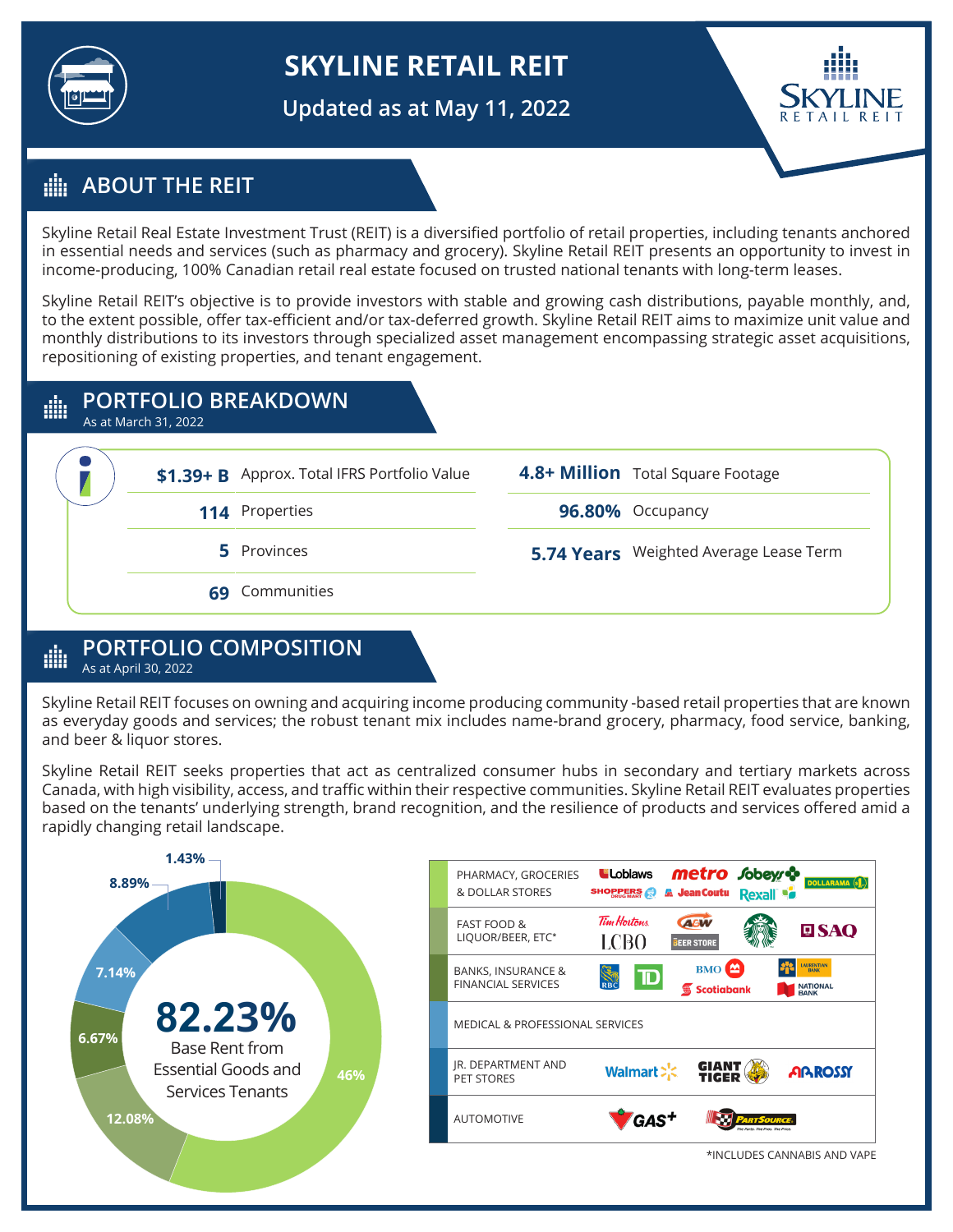

# **SKYLINE RETAIL REIT**

**Updated as at May 11, 2022**



## **ABOUT THE REIT**

Skyline Retail Real Estate Investment Trust (REIT) is a diversified portfolio of retail properties, including tenants anchored in essential needs and services (such as pharmacy and grocery). Skyline Retail REIT presents an opportunity to invest in income-producing, 100% Canadian retail real estate focused on trusted national tenants with long-term leases.

Skyline Retail REIT's objective is to provide investors with stable and growing cash distributions, payable monthly, and, to the extent possible, offer tax-efficient and/or tax-deferred growth. Skyline Retail REIT aims to maximize unit value and monthly distributions to its investors through specialized asset management encompassing strategic asset acquisitions, repositioning of existing properties, and tenant engagement.

#### **PORTFOLIO BREAKDOWN** ∰

As at March 31, 2022



#### **PORTFOLIO COMPOSITION** dh As at April 30, 2022

Skyline Retail REIT focuses on owning and acquiring income producing community -based retail properties that are known as everyday goods and services; the robust tenant mix includes name-brand grocery, pharmacy, food service, banking, and beer & liquor stores.

Skyline Retail REIT seeks properties that act as centralized consumer hubs in secondary and tertiary markets across Canada, with high visibility, access, and traffic within their respective communities. Skyline Retail REIT evaluates properties based on the tenants' underlying strength, brand recognition, and the resilience of products and services offered amid a rapidly changing retail landscape.